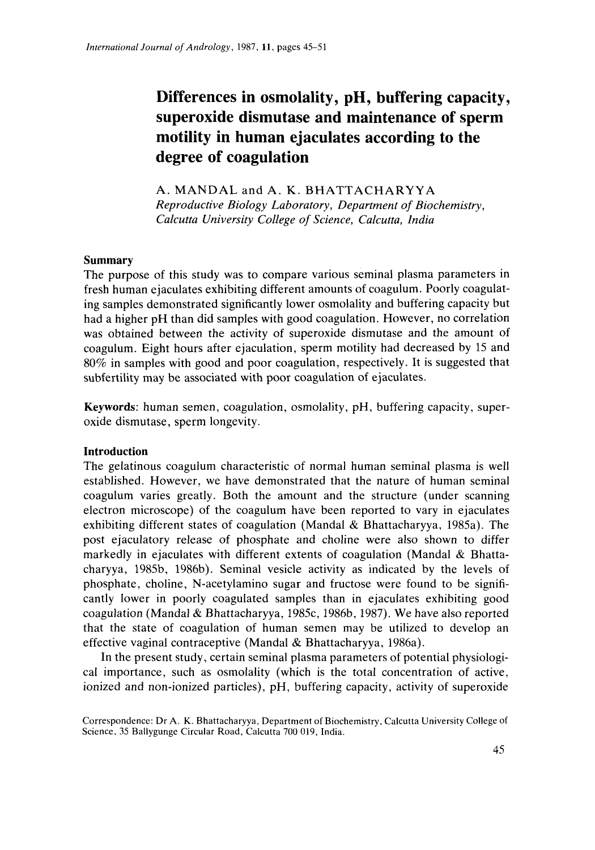# *Produceral of Andrology*, 1987, 11, pages 45–51<br>**Differences in osmolality, pH, buffering capacity, <br><b>superoxide dismutase and maintenance of sperm superoxide dismutase and maintenance of sperm motility in human ejaculates according to the degree of coagulation**

**A. MANDAL** and **A.** K. **BHATTACHARYYA**  *Reproductive Biology Laboratory, Department of Biochemistry,*  **Calculary Constructive Consolegeree of coagulation**<br> *Calcutta University College of Science, Calcutta, India Calcutta University College of Science, Calcutta, India*  $\alpha$ 

# **Summary**

The purpose of this study was to compare various seminal plasma parameters in fresh human ejaculates exhibiting different amounts of coagulum. Poorly coagulating samples demonstrated significantly lower osmolality and buffering capacity but had a higher pH than did samples with good coagulation. However, no correlation was obtained between the activity of superoxide dismutase and the amount of coagulum. Eight hours after ejaculation, sperm motility had decreased by 15 and 80% in samples with good and poor coagulation, respectively. It is suggested that subfertility may be associated with poor coagulation of ejaculates.

**Keywords:** human semen, coagulation, osmolality, pH, buffering capacity, superoxide dismutase, sperm longevity.

# **Introduction**

The gelatinous coagulum characteristic of normal human seminal plasma is well established. However, we have demonstrated that the nature of human seminal coagulum varies greatly. Both the amount and the structure (under scanning electron microscope) of the coagulum have been reported to vary in ejaculates exhibiting different states of coagulation (Mandal & Bhattacharyya, 1985a). The post ejaculatory release of phosphate and choline were also shown to differ markedly in ejaculates with different extents of coagulation (Mandal & Bhattacharyya, 1985b, 1986b). Seminal vesicle activity as indicated by the levels of phosphate, choline, N-acetylamino sugar and fructose were found to be significantly lower in poorly coagulated samples than in ejaculates exhibiting good coagulation (Mandal & Bhattacharyya, 1985c, 1986b, 1987). We have also reported that the state of coagulation of human semen may be utilized to develop an effective vaginal contraceptive (Mandal & Bhattacharyya, 1986a).

In the present study, certain seminal plasma parameters of potential physiological importance, such as osmolality (which is the total concentration of active, ionized and non-ionized particles), pH, buffering capacity, activity of superoxide

Correspondence: Dr **A.** K. Bhattacharyya, Department of Biochemistry, Calcutta University College of Science, 35 Ballygunge Circular Road, Calcutta 700 019, India.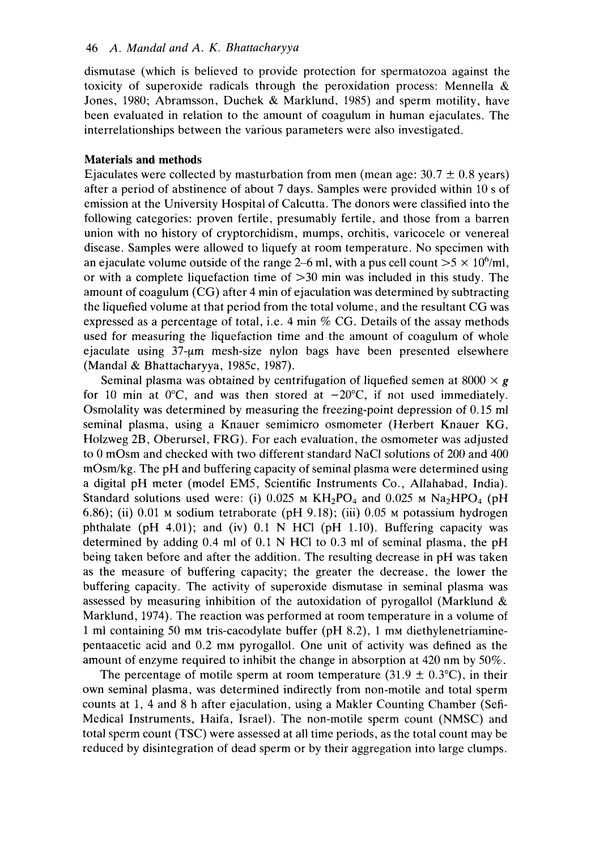46 A. Mandal and A. K. Bhattacharyya<br>dismutase (which is believed to provide protection for spermatozoa against the dismutase (which is believed to provide protection for spermatozoa against the toxicity of superoxide radicals through the peroxidation process: Mennella  $\&$ 46 A. Mandal and A. K. Bhattacharyya<br>dismutase (which is believed to provide protection for spermatozoa against the<br>toxicity of superoxide radicals through the peroxidation process: Mennella &<br>Jones, 1980; Abramsson, Duche Jones, 1980; Abramsson, Duchek & Marklund, 1985) and sperm motility, have been evaluated in relation to the amount of coagulum in human ejaculates. The interrelationships between the various parameters were also investigated. *nd A. K. Bhattacharyya*<br>is believed to provide protection for spermatozoa against the<br>poxide radicals through the peroxidation process: Mennella &<br>amsson, Duchek & Marklund, 1985) and sperm motility, have<br>relation to the

### **Materials and methods**

Ejaculates were collected by masturbation from men (mean age:  $30.7 \pm 0.8$  years) after a period of abstinence of about 7 days. Samples were provided within 10 s of emission at the University Hospital of Calcutta. The donors were classified into the following categories: proven fertile, presumably fertile, and those from a barren union with no history of cryptorchidism, mumps, orchitis, varicocele or venereal disease. Samples were allowed to liquefy at room temperature. No specimen with an ejaculate volume outside of the range 2–6 ml, with a pus cell count  $>5 \times 10^6$ /ml, or with a complete liquefaction time of  $>30$  min was included in this study. The amount of coagulum (CG) after 4 min of ejaculation was determined by subtracting the liquefied volume at that period from the total volume, and the resultant CG was expressed as a percentage of total, i.e.  $4 \text{ min } \%$  CG. Details of the assay methods used for measuring the liquefaction time and the amount of coagulum of whole ejaculate using 37-um mesh-size nylon bags have been presented elsewhere (Mandal & Bhattacharyya, 1985c, 1987).

Seminal plasma was obtained by centrifugation of liquefied semen at 8000  $\times$  g for 10 min at  $0^{\circ}$ C, and was then stored at  $-20^{\circ}$ C, if not used immediately. Osmolality was determined by measuring the freezing-point depression of 0.15 ml seminal plasma, using a Knauer semimicro osmometer (Herbert Knauer KG, Holzweg 2B, Oberursel, FRG). For each evaluation, the osmometer was adjusted to 0 mOsm and checked with two different standard NaCl solutions of 200 and 400 mOsm/kg. The pH and buffering capacity of seminal plasma were determined using a digital pH meter (model EM5, Scientific Instruments Co., Allahabad, India). Standard solutions used were: (i)  $0.025$  M  $KH_2PO_4$  and  $0.025$  M  $Na_2HPO_4$  (pH 6.86); (ii) 0.01 **M** sodium tetraborate (pH 9.18); (iii) 0.05 **M** potassium hydrogen phthalate (pH 4.01); and (iv)  $0.1$  N HCI (pH 1.10). Buffering capacity was determined by adding 0.4 ml of 0.1 N HCl to 0.3 ml of seminal plasma, the pH being taken before and after the addition. The resulting decrease in pH was taken as the measure of buffering capacity; the greater the decrease, the lower the buffering capacity. The activity of superoxide dismutase in seminal plasma was assessed by measuring inhibition of the autoxidation of pyrogallol (Marklund & Marklund, 1974). The reaction was performed at room temperature in a volume of 1 ml containing 50 mm tris-cacodylate buffer (pH 8.2), 1 mm diethylenetriaminepentaacetic acid and 0.2 mM pyrogallol. One unit of activity was defined as the amount of enzyme required to inhibit the change in absorption at 420 nm by 50%.

The percentage of motile sperm at room temperature (31.9  $\pm$  0.3°C), in their own seminal plasma, was determined indirectly from nonmotile and total sperm counts at 1, 4 and 8 h after ejaculation, using a Makler Counting Chamber (Sefi-Medical Instruments, Haifa, Israel). The non-motile sperm count (NMSC) and total sperm count (TSC) were assessed at all time periods, as the total count may be reduced by disintegration of dead sperm or by their aggregation into large clumps.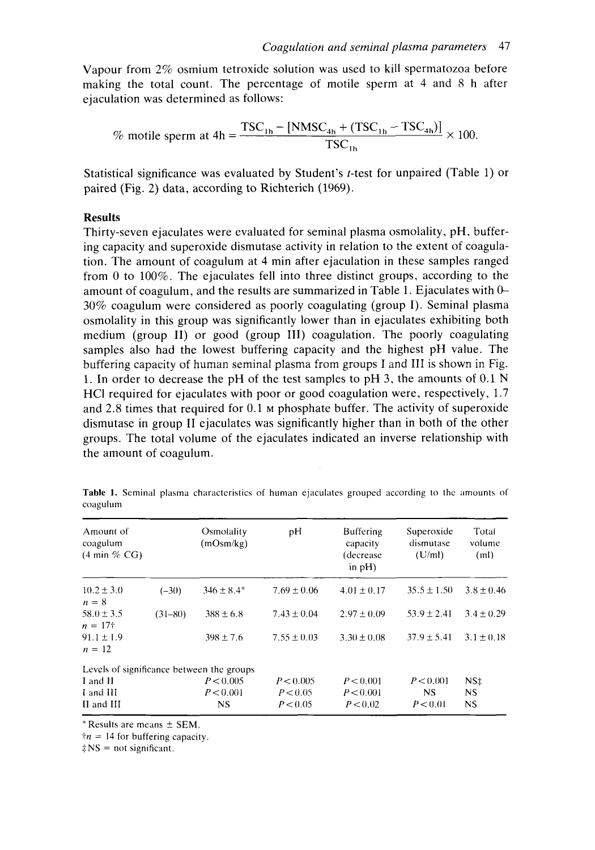*Coagulation and seminal plasma parameters* <sup>47</sup><br>e solution was used to kill spermatozoa before Vapour from 2% osmium tetroxide solution was used to kill spermatozoa before making the total count. The percentage of motile sperm at 4 and 8 h after ejaculation was determined as follows: Coagulation and seminal plasma parameters 47<br>oxide solution was used to kill spermatozoa before<br>percentage of motile sperm at 4 and 8 h after<br>follows:<br> $TSC_{1h} - [NMSC_{4h} + (TSC_{1h} - TSC_{4h})] \times 100.$ <br> $TSC_{1h}$ 

$$
\% \text{ motile sperm at 4h} = \frac{\text{TSC}_{1\text{h}} - \left[\text{NMSC}_{4\text{h}} + \left(\text{TSC}_{1\text{h}} - \text{TSC}_{4\text{h}}\right)\right]}{\text{TSC}_{1\text{h}}} \times 100.
$$

Statistical significance was evaluated by Student's t-test for unpaired (Table 1) or paired (Fig. 2) data, according to Richterich  $\frac{C_{4h} + (TSC_{1h} - TSC_{4h})}{TSC_{1h}} \times 100.$ <br> **zystem**<br> **zent's** *t***-test for unpaired (Table 1) or (1969).** 

# **Results**

Thirty-seven ejaculates were evaluated for seminal plasma osmolality, pH, buffering capacity and superoxide dismutase activity in relation to the extent of coagulation. The amount of coagulum at **4** min after ejaculation in these samples ranged from 0 to 100%. The ejaculates fell into three distinct groups, according to the **Results**<br>Thirty-seven ejaculates were evaluated for seminal plasma osmolality, pH, buffer-<br>ing capacity and superoxide dismutase activity in relation to the extent of coagula-<br>tion. The amount of coagulum at 4 min after e 30% coagulum were considered as poorly coagulating (group I). Seminal plasma osmolality in this group was significantly lower than in ejaculates exhibiting both medium (group **11)** or good (group 111) coagulation. The poorly coagulating samples also had the lowest buffering capacity and the highest pH value. The buffering capacity of human seminal plasma from groups I and 111 is shown in Fig. 1. In order to decrease the pH of the test samples to pH 3, the amounts of 0.1 N HCI required for ejaculates with poor or good coagulation were, respectively, 1.7 and 2.8 times that required for 0.1 M phosphate buffer. The activity of superoxide dismutase in group I1 ejaculates was significantly higher than in both of the other groups. The total volume of the ejaculates indicated an inverse relationship with the amount of coagulum. **Table 1. Seminal plasma characteristics of human ejaculates grouped according to the amounts of coagulum.<br>
<b>Table 1.** Seminal plasma characteristics of human ejaculates grouped according to the amounts of coagulum

| oagulum                                                   |                                           |                         | Table 1. Seminal plasma characteristics of human ejaculates grouped according to the amounts of   |                                 |                                                                   |  |
|-----------------------------------------------------------|-------------------------------------------|-------------------------|---------------------------------------------------------------------------------------------------|---------------------------------|-------------------------------------------------------------------|--|
| Amount of<br>coagulum<br>$(4 \text{ min } \% \text{ CG})$ |                                           | Osmolality<br>(mOsm/kg) |                                                                                                   | Buffering<br>capacity<br>in pH) | Superoxide Total<br>dismutase volume<br>$(decrease \t(U/ml)$ (ml) |  |
|                                                           |                                           |                         | 10.2 ± 3.0 $(-30)$ $346 \pm 8.4^*$ $7.69 \pm 0.06$ $4.01 \pm 0.17$ $35.5 \pm 1.50$ $3.8 \pm 0.46$ |                                 |                                                                   |  |
| $n = 177$                                                 |                                           |                         | 58.0 ± 3.5 (31-80) $388 \pm 6.8$ 7.43 ± 0.04 2.97 ± 0.09 53.9 ± 2.41 3.4 ± 0.29                   |                                 |                                                                   |  |
| $91.1 \pm 1.9$<br>$n = 12$                                |                                           |                         | $398 \pm 7.6$ $7.55 \pm 0.03$ $3.30 \pm 0.08$ $37.9 \pm 5.41$ $3.1 \pm 0.18$                      |                                 |                                                                   |  |
|                                                           | Levels of significance between the groups |                         |                                                                                                   |                                 |                                                                   |  |
| and II                                                    |                                           |                         | $P < 0.005$ $P < 0.005$ $P < 0.001$ $P < 0.001$ NS‡                                               |                                 |                                                                   |  |
| I and III                                                 |                                           |                         | $P < 0.001$ $P < 0.05$ $P < 0.001$ NS NS                                                          |                                 |                                                                   |  |
| I and III                                                 |                                           |                         | NS $P < 0.05$ $P < 0.02$ $P < 0.01$ NS                                                            |                                 |                                                                   |  |

coagulum

 $*$  Results are means  $\pm$  SEM.

 $\tau = 14$  for buffering capacity.

 $\text{\textsterling}$  NS = not significant.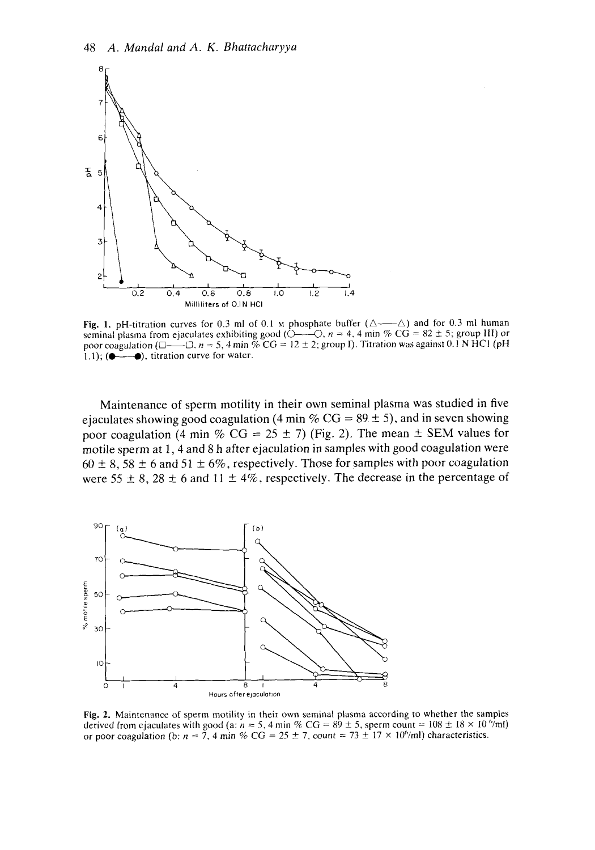

**Fig. 1.** pH-titration curves for 0.3 ml of 0.1  $\mu$  phosphate buffer ( $\Delta \rightarrow \Delta$ ) and for 0.3 ml human 2<br>
0.2 0.4 0.6 0.8 1.0 1.2 1.4<br>
Millilliters of 0.1N HCl<br>
Fig. 1. pH-titration curves for 0.3 ml of 0.1 M phosphate buffer  $(\triangle \text{---}\triangle)$  and for 0.3 ml human<br>
seminal plasma from ejaculates exhibiting good  $(\triangle \text{---}\triangle, n = 4, 4$ poor coagulation (0-0. *n* = .5, 4 min % CG = 12 zyxwvutsrqponmlkjihgfedcbaZYXWVUTSRQPONMLKJIHGFEDCBA <sup>f</sup>2; group I). Titration was agninst 0.1 N HCI (pH **Example 1.** pH-titration curves for 0.3 ml of 0.1 M phosphate buffer  $(\triangle \text{---}\triangle)$  and for 0.3 ml human seminal plasma from ejaculates exhibiting good  $(\triangle \text{---}\triangle, n = 4, 4 \text{ min} \% \text{ CG} = 82 \pm 5$ ; group III) or poor coagulation

Maintenance of sperm motility in their own seminal plasma was studied in five ejaculates showing good coagulation (4 min %  $CG = 89 \pm 5$ ), and in seven showing poor coagulation (4 min %  $CG = 25 \pm 7$ ) (Fig. 2). The mean  $\pm$  SEM values for motile sperm at 1, 4 and 8 h after ejaculation in samples with good coagulation were  $60 \pm 8$ ,  $58 \pm 6$  and  $51 \pm 6\%$ , respectively. Those for samples with poor coagulation were 55  $\pm$  8, 28  $\pm$  6 and 11  $\pm$  4%, respectively. The decrease in the percentage of



**Fig. 2.** Maintenance of sperm motility in their own seminal plasma according to whether the samples derived from ejaculates with good (a:  $n = 5$ , 4 min % CG = 89 ± 5, sperm count =  $108 \pm 18 \times 10^{6}$ /ml) or poor coagulation (b:  $n = 7$ , 4 min % CG = 25  $\pm$  7, count = 73  $\pm$  17  $\times$  10<sup>6</sup>/ml) characteristics.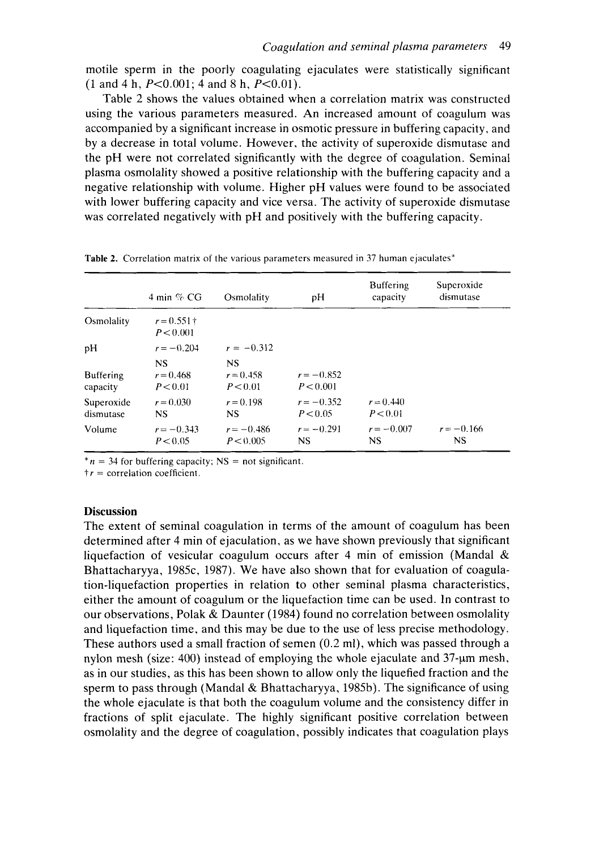motile sperm in the poorly coagulating ejaculates were statistically significant  $(1 \text{ and } 4 \text{ h}, P < 0.001; 4 \text{ and } 8 \text{ h}, P < 0.01).$ 

Table 2 shows the values obtained when a correlation matrix was constructed Coagulation and seminal plasma parameters 49<br>motile sperm in the poorly coagulating ejaculates were statistically significant<br>(1 and 4 h, P<0.001; 4 and 8 h, P<0.01).<br>Table 2 shows the values obtained when a correlation ma accompanied by a significant increase in osmotic pressure in buffering capacity, and by a decrease in total volume. However, the activity of superoxide dismutase and the pH were not correlated significantly with the degree of coagulation. Seminal plasma osmolality showed a positive relationship with the buffering capacity and a negative relationship with volume. Higher pH values were found to be associated with lower buffering capacity and vice versa. The activity of superoxide dismutase was correlated negatively with pH and positively with the buffering capacity.

|                                               |                           |                           | Table 2. Correlation matrix of the various parameters measured in 37 human ejaculates*                          |                         |  |
|-----------------------------------------------|---------------------------|---------------------------|-----------------------------------------------------------------------------------------------------------------|-------------------------|--|
|                                               | 4 min $\%$ CG Smolality   | pH b                      | <b>Buffering</b><br>capacity                                                                                    | Superoxide<br>dismutase |  |
| Osmolality $r = 0.551 \text{ +}$<br>P < 0.001 |                           |                           |                                                                                                                 |                         |  |
| <b>NS</b>                                     | $r = -0.204$ $r = -0.312$ |                           |                                                                                                                 |                         |  |
| Buffering<br>$r = 0.468$<br>P < 0.01          | $r = 0.458$<br>P < 0.01   | $r = -0.852$<br>P < 0.001 |                                                                                                                 |                         |  |
| $r = 0.030$<br>Superoxide<br>NS               | $r = 0.198$               | P < 0.05                  | $r = -0.352$ $r = 0.440$<br>P < 0.01                                                                            |                         |  |
| $r = -0.343$<br>P < 0.05                      | P < 0.005                 | NS.                       | $r = -0.486$ $r = -0.291$ $r = -0.007$ $r = -0.166$<br>$\mathbf{N}$                                             |                         |  |
|                                               |                           |                           | <u> 1990 - Jan Salaman, marka masjid ayyik asl nashrida asl nashrida asl nashrida asl nashrida asl nashrida</u> |                         |  |

**Table 2.** Correlation matrix of the various parameters measured in 37 human ejaculates'

 $n = 34$  for buffering capacity; NS = not significant.

 $\uparrow$  **r** = correlation coefficient.

### **Discussion**

The extent of seminal coagulation in terms of the amount of coagulum has been determined after 4 min of ejaculation, as we have shown previously that significant liquefaction of vesicular coagulum occurs after 4 min of emission (Mandal  $\&$ Bhattacharyya, 1985c, 1987). We have also shown that for evaluation of coagulation-liquefaction properties in relation to other seminal plasma characteristics, either the amount of coagulum or the liquefaction time can be used. In contrast to our observations, Polak & Daunter (1984) found no correlation between osmolality and liquefaction time, and this may be due to the use of less precise methodology. These authors used a small fraction of semen (0.2 ml), which was passed through a nylon mesh (size: 400) instead of employing the whole ejaculate and 37-ym mesh, as in our studies, as this has been shown to allow only the liquefied fraction and the sperm to pass through (Mandal & Bhattacharyya, 1985b). The significance of using the whole ejaculate is that both the coagulum volume and the consistency differ in fractions of split ejaculate. The highly significant positive correlation between osmolality and the degree of coagulation, possibly indicates that coagulation plays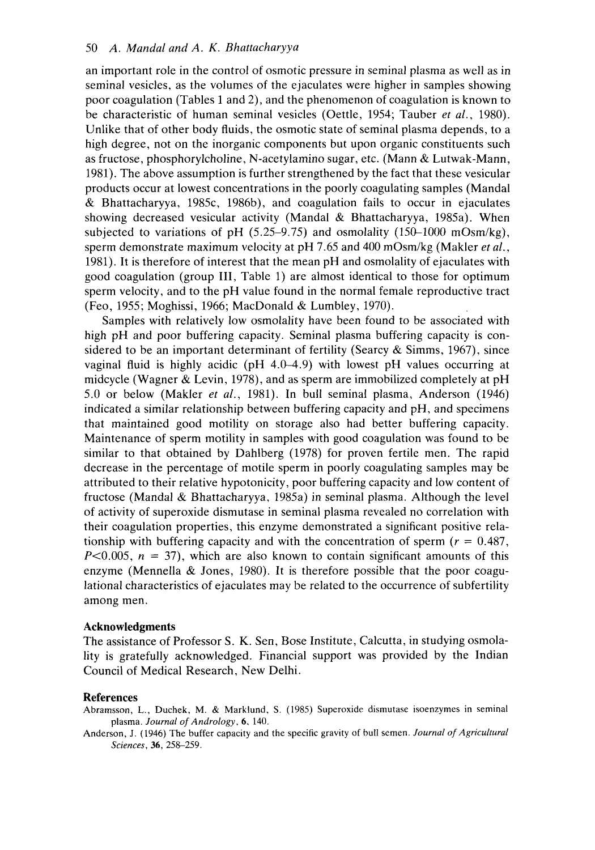50 A. *Mandal and A. K. Bhattacharyya*<br>an important role in the control of osmotic pressure in seminal plasma as well as in role in the control acharyya<br>of osmotic pressure in seminal plasma as well as in seminal vesicles, as the volumes of the ejaculates were higher in samples showing poor coagulation (Tables 1 and 2), and the phenomenon of coagulation is known to be characteristic of human seminal vesicles (Oettle, 1954; Tauber *et al.,* 1980). Unlike that of other body fluids, the osmotic state of seminal plasma depends, to a high degree, not on the inorganic components but upon organic constituents such an important role in the control of osmotic pressure in seminal plasma as well as in<br>seminal vesicles, as the volumes of the ejaculates were higher in samples showing<br>poor coagulation (Tables 1 and 2), and the phenomenon o 1981). The above assumption is further strengthened by the fact that these vesicular products occur at lowest concentrations in the poorly coagulating samples (Mandal & Bhattacharyya, 1985c, 1986b), and coagulation fails to occur in ejaculates showing decreased vesicular activity (Mandal & Bhattacharyya, 1985a). When subjected to variations of pH  $(5.25-9.75)$  and osmolality  $(150-1000 \text{ mOsm/kg})$ , sperm demonstrate maximum velocity at pH 7.65 and 400 mOsm/kg (Makler *et al.,*  1981). It is therefore of interest that the mean pH and osmolality of ejaculates with good coagulation (group 111, Table 1) are almost identical to those for optimum sperm velocity, and to the pH value found in the normal female reproductive tract (Feo, 1955; Moghissi, 1966; MacDonald & Lumbley, 1970).

Samples with relatively low osmolality have been found to be associated with high pH and poor buffering capacity. Seminal plasma buffering capacity is considered to be an important determinant of fertility (Searcy  $\&$  Simms, 1967), since vaginal fluid is highly acidic (pH 4.0-4.9) with lowest pH values occurring at midcycle (Wagner & Levin, 1978), and as sperm are immobilized completely at pH 5.0 or below (Makler *et al.,* 1981). In bull seminal plasma, Anderson (1946) indicated a similar relationship between buffering capacity and pH, and specimens that maintained good motility on storage also had better buffering capacity. Maintenance of sperm motility in samples with good coagulation was found to be similar to that obtained by Dahlberg (1978) for proven fertile men. The rapid decrease in the percentage of motile sperm in poorly coagulating samples may be attributed to their relative hypotonicity, poor buffering capacity and low content of fructose (Mandal & Bhattacharyya, 1985a) in seminal plasma. Although the level of activity of superoxide dismutase in seminal plasma revealed no correlation with their coagulation properties, this enzyme demonstrated a significant positive relasimilar to that obtained by Dahlberg (1978) for proven fertile men. The rapid<br>decrease in the percentage of motile sperm in poorly coagulating samples may be<br>attributed to their relative hypotonicity, poor buffering capac *,*  $n = 37$ *), which are also known to contain significant amounts of this* enzyme (Mennella & Jones, 1980). It is therefore possible that the poor coagulational characteristics of ejaculates may be related to the occurrence of subfertility among men. rity of superoxide dismutase in seminal plasma revealed no correlation with agulation properties, this enzyme demonstrated a significant positive rela-<br>b with buffering capacity and with the concentration of sperm  $(r = 0.4$ 

#### **Acknowledgments**

The assistance of Professor **S.** K. Sen, Bose Institute, Calcutta, in studying osmolality is gratefully acknowledged. Financial support was provided by the Indian Council of Medical Research, New Delhi.

#### **References**

Abrarnsson, L., Duchek, M. & Marklund, **S.** (1985) Superoxide dismutase isoenzymes in seminal plasma. *Journal* of *Andrology,* **6,** 140.

Anderson, J. (1946) The buffer capacity and the specific gravity of bull semen. *Journal* of *Agricultural Sciences*, 36, 258-259.